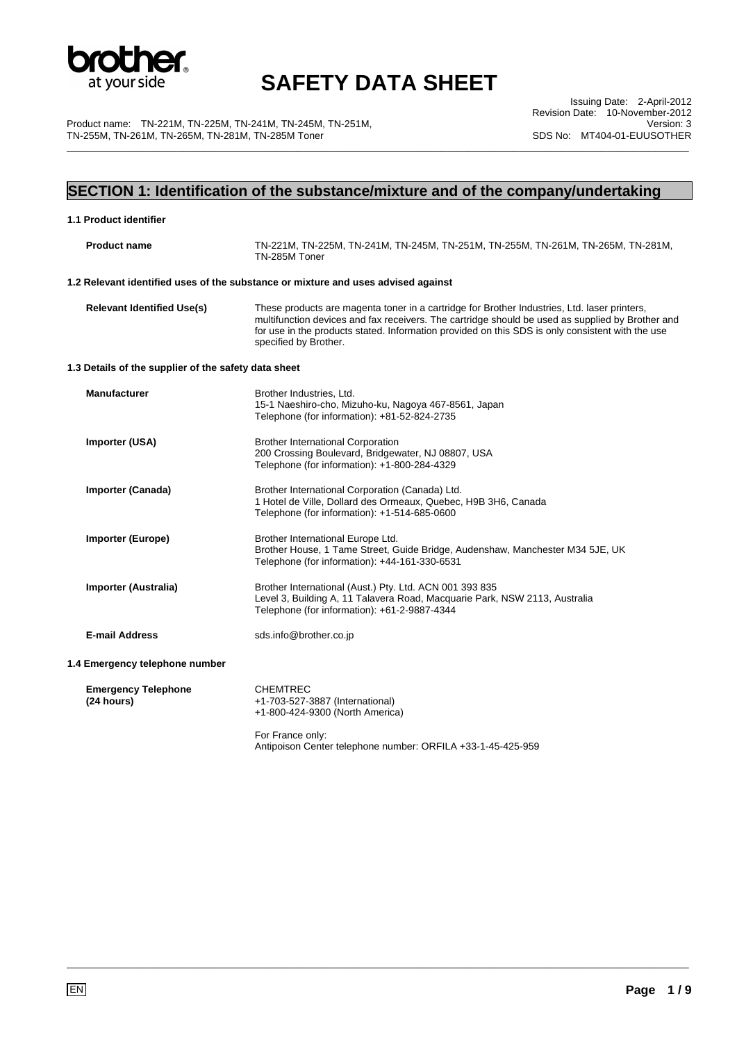

\_\_\_\_\_\_\_\_\_\_\_\_\_\_\_\_\_\_\_\_\_\_\_\_\_\_\_\_\_\_\_\_\_\_\_\_\_\_\_\_\_\_\_\_\_\_\_\_\_\_\_\_\_\_\_\_\_\_\_\_\_\_\_\_\_\_\_\_\_\_\_\_\_\_\_\_\_\_\_\_\_\_\_\_\_\_\_\_\_\_\_\_\_\_\_\_\_\_\_\_\_\_\_\_\_\_\_\_\_\_\_\_\_

Product name: TN-221M, TN-225M, TN-241M, TN-245M, TN-251M, TN-255M, TN-261M, TN-265M, TN-281M, TN-285M Toner

Issuing Date: 2-April-2012 Revision Date: 10-November-2012 Version: 3 SDS No: MT404-01-EUUSOTHER

### **SECTION 1: Identification of the substance/mixture and of the company/undertaking**

| 1.1 Product identifier                               |                                                                                                                                                                                                                                                                                                                               |
|------------------------------------------------------|-------------------------------------------------------------------------------------------------------------------------------------------------------------------------------------------------------------------------------------------------------------------------------------------------------------------------------|
| <b>Product name</b>                                  | TN-221M, TN-225M, TN-241M, TN-245M, TN-251M, TN-255M, TN-261M, TN-265M, TN-281M,<br>TN-285M Toner                                                                                                                                                                                                                             |
|                                                      | 1.2 Relevant identified uses of the substance or mixture and uses advised against                                                                                                                                                                                                                                             |
| <b>Relevant Identified Use(s)</b>                    | These products are magenta toner in a cartridge for Brother Industries, Ltd. laser printers,<br>multifunction devices and fax receivers. The cartridge should be used as supplied by Brother and<br>for use in the products stated. Information provided on this SDS is only consistent with the use<br>specified by Brother. |
| 1.3 Details of the supplier of the safety data sheet |                                                                                                                                                                                                                                                                                                                               |
| <b>Manufacturer</b>                                  | Brother Industries, Ltd.<br>15-1 Naeshiro-cho, Mizuho-ku, Nagoya 467-8561, Japan<br>Telephone (for information): +81-52-824-2735                                                                                                                                                                                              |
| Importer (USA)                                       | <b>Brother International Corporation</b><br>200 Crossing Boulevard, Bridgewater, NJ 08807, USA<br>Telephone (for information): +1-800-284-4329                                                                                                                                                                                |
| Importer (Canada)                                    | Brother International Corporation (Canada) Ltd.<br>1 Hotel de Ville, Dollard des Ormeaux, Quebec, H9B 3H6, Canada<br>Telephone (for information): +1-514-685-0600                                                                                                                                                             |
| <b>Importer (Europe)</b>                             | Brother International Europe Ltd.<br>Brother House, 1 Tame Street, Guide Bridge, Audenshaw, Manchester M34 5JE, UK<br>Telephone (for information): +44-161-330-6531                                                                                                                                                           |
| Importer (Australia)                                 | Brother International (Aust.) Pty. Ltd. ACN 001 393 835<br>Level 3, Building A, 11 Talavera Road, Macquarie Park, NSW 2113, Australia<br>Telephone (for information): +61-2-9887-4344                                                                                                                                         |
| <b>E-mail Address</b>                                | sds.info@brother.co.jp                                                                                                                                                                                                                                                                                                        |
| 1.4 Emergency telephone number                       |                                                                                                                                                                                                                                                                                                                               |
| <b>Emergency Telephone</b><br>(24 hours)             | <b>CHEMTREC</b><br>+1-703-527-3887 (International)<br>+1-800-424-9300 (North America)                                                                                                                                                                                                                                         |
|                                                      | For France only:<br>Antipoison Center telephone number: ORFILA +33-1-45-425-959                                                                                                                                                                                                                                               |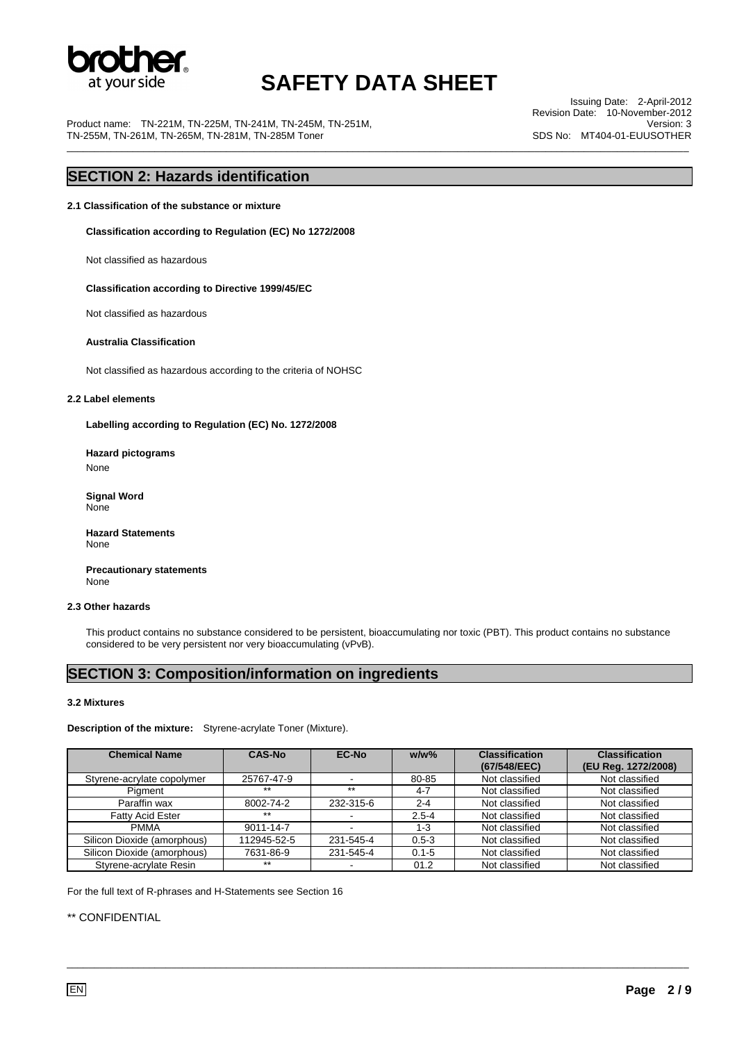

\_\_\_\_\_\_\_\_\_\_\_\_\_\_\_\_\_\_\_\_\_\_\_\_\_\_\_\_\_\_\_\_\_\_\_\_\_\_\_\_\_\_\_\_\_\_\_\_\_\_\_\_\_\_\_\_\_\_\_\_\_\_\_\_\_\_\_\_\_\_\_\_\_\_\_\_\_\_\_\_\_\_\_\_\_\_\_\_\_\_\_\_\_\_\_\_\_\_\_\_\_\_\_\_\_\_\_\_\_\_\_\_\_

Product name: TN-221M, TN-225M, TN-241M, TN-245M, TN-251M, TN-255M, TN-261M, TN-265M, TN-281M, TN-285M Toner

Issuing Date: 2-April-2012 Revision Date: 10-November-2012 Version: 3 SDS No: MT404-01-EUUSOTHER

### **SECTION 2: Hazards identification**

**2.1 Classification of the substance or mixture** 

**Classification according to Regulation (EC) No 1272/2008** 

Not classified as hazardous

 **Classification according to Directive 1999/45/EC** 

Not classified as hazardous

#### **Australia Classification**

Not classified as hazardous according to the criteria of NOHSC

#### **2.2 Label elements**

**Labelling according to Regulation (EC) No. 1272/2008** 

**Hazard pictograms**  None

 **Signal Word**  None

**Hazard Statements**  None

 **Precautionary statements**  None

#### **2.3 Other hazards**

This product contains no substance considered to be persistent, bioaccumulating nor toxic (PBT). This product contains no substance considered to be very persistent nor very bioaccumulating (vPvB).

### **SECTION 3: Composition/information on ingredients**

#### **3.2 Mixtures**

**Description of the mixture:** Styrene-acrylate Toner (Mixture).

| <b>Chemical Name</b>        | <b>CAS-No</b> | EC-No     | $w/w$ %   | <b>Classification</b><br>(67/548/EEC) | <b>Classification</b><br>(EU Reg. 1272/2008) |
|-----------------------------|---------------|-----------|-----------|---------------------------------------|----------------------------------------------|
| Styrene-acrylate copolymer  | 25767-47-9    |           | 80-85     | Not classified                        | Not classified                               |
| Piament                     | $***$         | $***$     | $4 - 7$   | Not classified                        | Not classified                               |
| Paraffin wax                | 8002-74-2     | 232-315-6 | $2 - 4$   | Not classified                        | Not classified                               |
| <b>Fatty Acid Ester</b>     | $***$         |           | $2.5 - 4$ | Not classified                        | Not classified                               |
| <b>PMMA</b>                 | 9011-14-7     |           | $1 - 3$   | Not classified                        | Not classified                               |
| Silicon Dioxide (amorphous) | 112945-52-5   | 231-545-4 | $0.5 - 3$ | Not classified                        | Not classified                               |
| Silicon Dioxide (amorphous) | 7631-86-9     | 231-545-4 | $0.1 - 5$ | Not classified                        | Not classified                               |
| Styrene-acrylate Resin      | $***$         |           | 01.2      | Not classified                        | Not classified                               |

\_\_\_\_\_\_\_\_\_\_\_\_\_\_\_\_\_\_\_\_\_\_\_\_\_\_\_\_\_\_\_\_\_\_\_\_\_\_\_\_\_\_\_\_\_\_\_\_\_\_\_\_\_\_\_\_\_\_\_\_\_\_\_\_\_\_\_\_\_\_\_\_\_\_\_\_\_\_\_\_\_\_\_\_\_\_\_\_\_\_\_\_\_\_\_\_\_\_\_\_\_\_\_\_\_\_\_\_\_\_\_\_\_

For the full text of R-phrases and H-Statements see Section 16

#### \*\* CONFIDENTIAL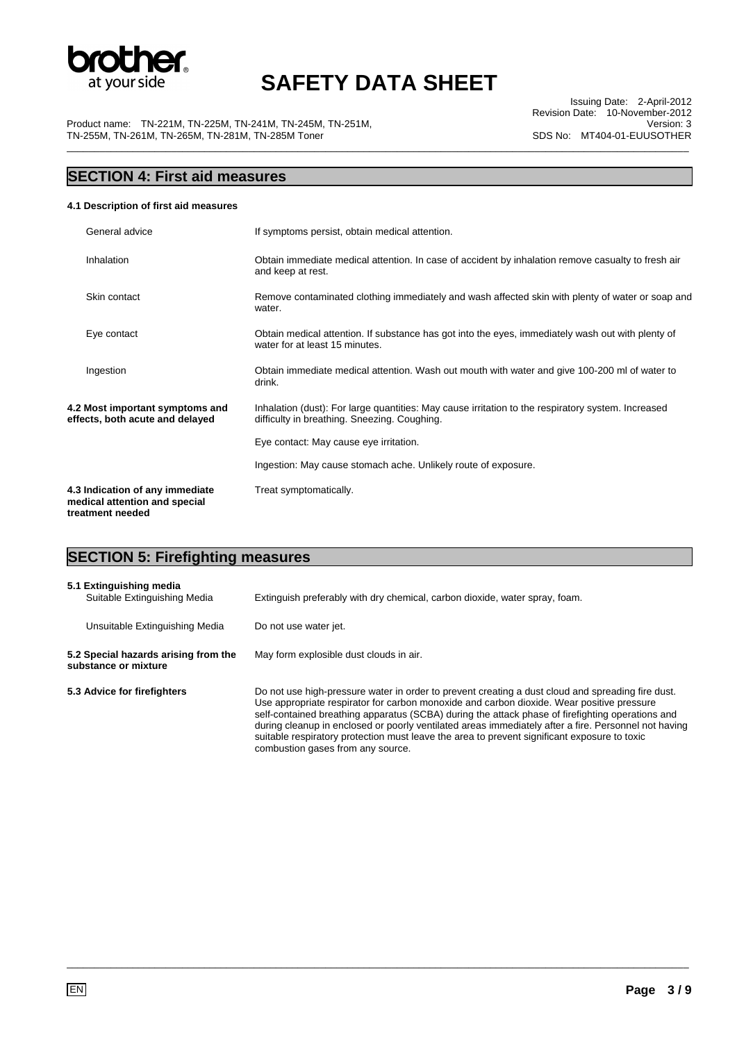

\_\_\_\_\_\_\_\_\_\_\_\_\_\_\_\_\_\_\_\_\_\_\_\_\_\_\_\_\_\_\_\_\_\_\_\_\_\_\_\_\_\_\_\_\_\_\_\_\_\_\_\_\_\_\_\_\_\_\_\_\_\_\_\_\_\_\_\_\_\_\_\_\_\_\_\_\_\_\_\_\_\_\_\_\_\_\_\_\_\_\_\_\_\_\_\_\_\_\_\_\_\_\_\_\_\_\_\_\_\_\_\_\_

Product name: TN-221M, TN-225M, TN-241M, TN-245M, TN-251M, TN-255M, TN-261M, TN-265M, TN-281M, TN-285M Toner

Issuing Date: 2-April-2012 Revision Date: 10-November-2012 Version: 3 SDS No: MT404-01-EUUSOTHER

## **SECTION 4: First aid measures**

#### **4.1 Description of first aid measures**

| General advice                                                                       |  | If symptoms persist, obtain medical attention.                                                                                                     |
|--------------------------------------------------------------------------------------|--|----------------------------------------------------------------------------------------------------------------------------------------------------|
| Inhalation                                                                           |  | Obtain immediate medical attention. In case of accident by inhalation remove casualty to fresh air<br>and keep at rest.                            |
| Skin contact                                                                         |  | Remove contaminated clothing immediately and wash affected skin with plenty of water or soap and<br>water.                                         |
| Eye contact                                                                          |  | Obtain medical attention. If substance has got into the eyes, immediately wash out with plenty of<br>water for at least 15 minutes.                |
| Ingestion                                                                            |  | Obtain immediate medical attention. Wash out mouth with water and give 100-200 ml of water to<br>drink.                                            |
| 4.2 Most important symptoms and<br>effects, both acute and delayed                   |  | Inhalation (dust): For large quantities: May cause irritation to the respiratory system. Increased<br>difficulty in breathing. Sneezing. Coughing. |
|                                                                                      |  | Eye contact: May cause eye irritation.                                                                                                             |
|                                                                                      |  | Ingestion: May cause stomach ache. Unlikely route of exposure.                                                                                     |
| 4.3 Indication of any immediate<br>medical attention and special<br>treatment needed |  | Treat symptomatically.                                                                                                                             |

## **SECTION 5: Firefighting measures**

| 5.1 Extinguishing media<br>Suitable Extinguishing Media      | Extinguish preferably with dry chemical, carbon dioxide, water spray, foam.                                                                                                                                                                                                                                                                                                                                                                                                                                                                     |
|--------------------------------------------------------------|-------------------------------------------------------------------------------------------------------------------------------------------------------------------------------------------------------------------------------------------------------------------------------------------------------------------------------------------------------------------------------------------------------------------------------------------------------------------------------------------------------------------------------------------------|
| Unsuitable Extinguishing Media                               | Do not use water jet.                                                                                                                                                                                                                                                                                                                                                                                                                                                                                                                           |
| 5.2 Special hazards arising from the<br>substance or mixture | May form explosible dust clouds in air.                                                                                                                                                                                                                                                                                                                                                                                                                                                                                                         |
| 5.3 Advice for firefighters                                  | Do not use high-pressure water in order to prevent creating a dust cloud and spreading fire dust.<br>Use appropriate respirator for carbon monoxide and carbon dioxide. Wear positive pressure<br>self-contained breathing apparatus (SCBA) during the attack phase of firefighting operations and<br>during cleanup in enclosed or poorly ventilated areas immediately after a fire. Personnel not having<br>suitable respiratory protection must leave the area to prevent significant exposure to toxic<br>combustion gases from any source. |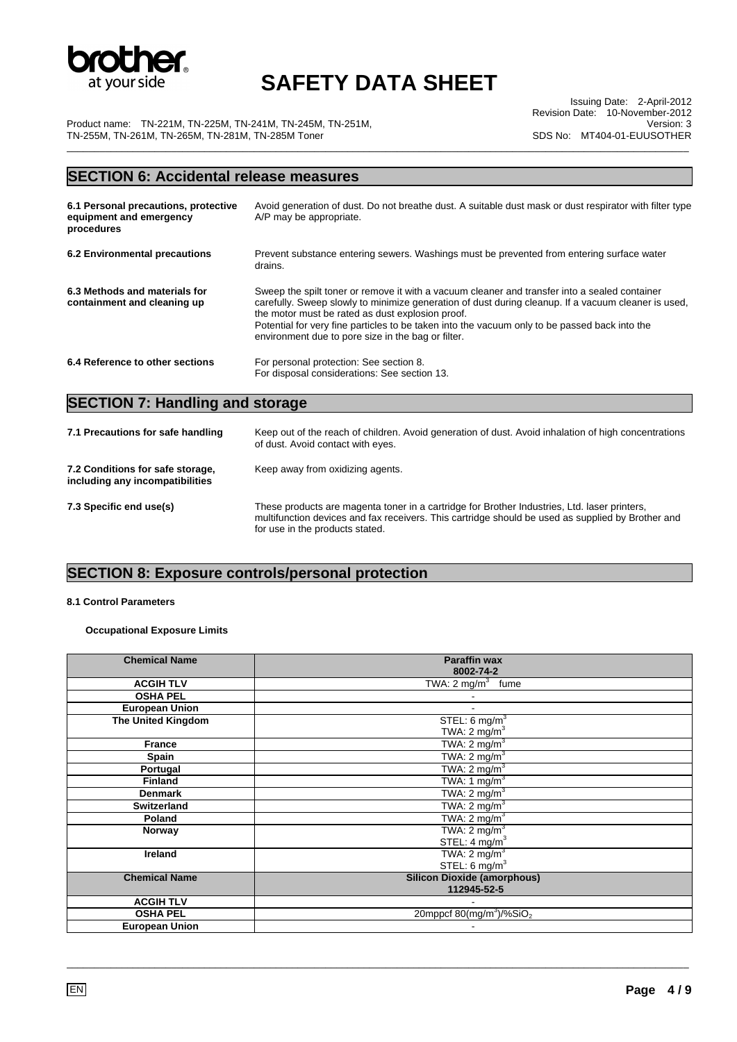

\_\_\_\_\_\_\_\_\_\_\_\_\_\_\_\_\_\_\_\_\_\_\_\_\_\_\_\_\_\_\_\_\_\_\_\_\_\_\_\_\_\_\_\_\_\_\_\_\_\_\_\_\_\_\_\_\_\_\_\_\_\_\_\_\_\_\_\_\_\_\_\_\_\_\_\_\_\_\_\_\_\_\_\_\_\_\_\_\_\_\_\_\_\_\_\_\_\_\_\_\_\_\_\_\_\_\_\_\_\_\_\_\_

Product name: TN-221M, TN-225M, TN-241M, TN-245M, TN-251M, TN-255M, TN-261M, TN-265M, TN-281M, TN-285M Toner

Issuing Date: 2-April-2012 Revision Date: 10-November-2012 Version: 3 SDS No: MT404-01-EUUSOTHER

## **SECTION 6: Accidental release measures**

| 6.1 Personal precautions, protective<br>equipment and emergency<br>procedures | Avoid generation of dust. Do not breathe dust. A suitable dust mask or dust respirator with filter type<br>A/P may be appropriate.                                                                                                                                                                                                                                                                              |
|-------------------------------------------------------------------------------|-----------------------------------------------------------------------------------------------------------------------------------------------------------------------------------------------------------------------------------------------------------------------------------------------------------------------------------------------------------------------------------------------------------------|
| 6.2 Environmental precautions                                                 | Prevent substance entering sewers. Washings must be prevented from entering surface water<br>drains.                                                                                                                                                                                                                                                                                                            |
| 6.3 Methods and materials for<br>containment and cleaning up                  | Sweep the spilt toner or remove it with a vacuum cleaner and transfer into a sealed container<br>carefully. Sweep slowly to minimize generation of dust during cleanup. If a vacuum cleaner is used,<br>the motor must be rated as dust explosion proof.<br>Potential for very fine particles to be taken into the vacuum only to be passed back into the<br>environment due to pore size in the bag or filter. |
| 6.4 Reference to other sections                                               | For personal protection: See section 8.<br>For disposal considerations: See section 13.                                                                                                                                                                                                                                                                                                                         |

# **SECTION 7: Handling and storage**

| 7.1 Precautions for safe handling                                   | Keep out of the reach of children. Avoid generation of dust. Avoid inhalation of high concentrations<br>of dust. Avoid contact with eyes.                                                                                            |
|---------------------------------------------------------------------|--------------------------------------------------------------------------------------------------------------------------------------------------------------------------------------------------------------------------------------|
| 7.2 Conditions for safe storage,<br>including any incompatibilities | Keep away from oxidizing agents.                                                                                                                                                                                                     |
| 7.3 Specific end use(s)                                             | These products are magenta toner in a cartridge for Brother Industries, Ltd. laser printers,<br>multifunction devices and fax receivers. This cartridge should be used as supplied by Brother and<br>for use in the products stated. |

### **SECTION 8: Exposure controls/personal protection**

#### **8.1 Control Parameters**

#### **Occupational Exposure Limits**

| <b>Chemical Name</b>      | <b>Paraffin wax</b><br>8002-74-2                          |
|---------------------------|-----------------------------------------------------------|
|                           |                                                           |
| <b>ACGIH TLV</b>          | TWA: $2 \text{ mg/m}^3$ fume                              |
| <b>OSHA PEL</b>           |                                                           |
| <b>European Union</b>     |                                                           |
| <b>The United Kingdom</b> | STEL: $6 \text{ mg/m}^3$                                  |
|                           | TWA: $2 \text{ mg/m}^3$                                   |
| <b>France</b>             | TWA: $2 \text{ mg/m}^3$                                   |
| Spain                     | TWA: $2 \text{ mg/m}^3$                                   |
| Portugal                  | TWA: $2 \text{ mg/m}^3$                                   |
| <b>Finland</b>            | TWA: $1 \text{ mg/m}^3$                                   |
| <b>Denmark</b>            | TWA: $2 \text{ mg/m}^3$                                   |
| <b>Switzerland</b>        | TWA: $2 \text{ mg/m}^3$                                   |
| Poland                    | TWA: $2 \text{ mg/m}^3$                                   |
| Norway                    | TWA: $2 \text{ mg/m}^3$                                   |
|                           | STEL: $4 \text{ mg/m}^3$                                  |
| <b>Ireland</b>            | TWA: $2 \text{ mg/m}^3$                                   |
|                           | STEL: $6 \text{ mg/m}^3$                                  |
| <b>Chemical Name</b>      | <b>Silicon Dioxide (amorphous)</b>                        |
|                           | 112945-52-5                                               |
| <b>ACGIH TLV</b>          |                                                           |
| <b>OSHA PEL</b>           | 20mppcf $80 \frac{\text{m}}{\text{s}}$ /%SiO <sub>2</sub> |
| <b>European Union</b>     |                                                           |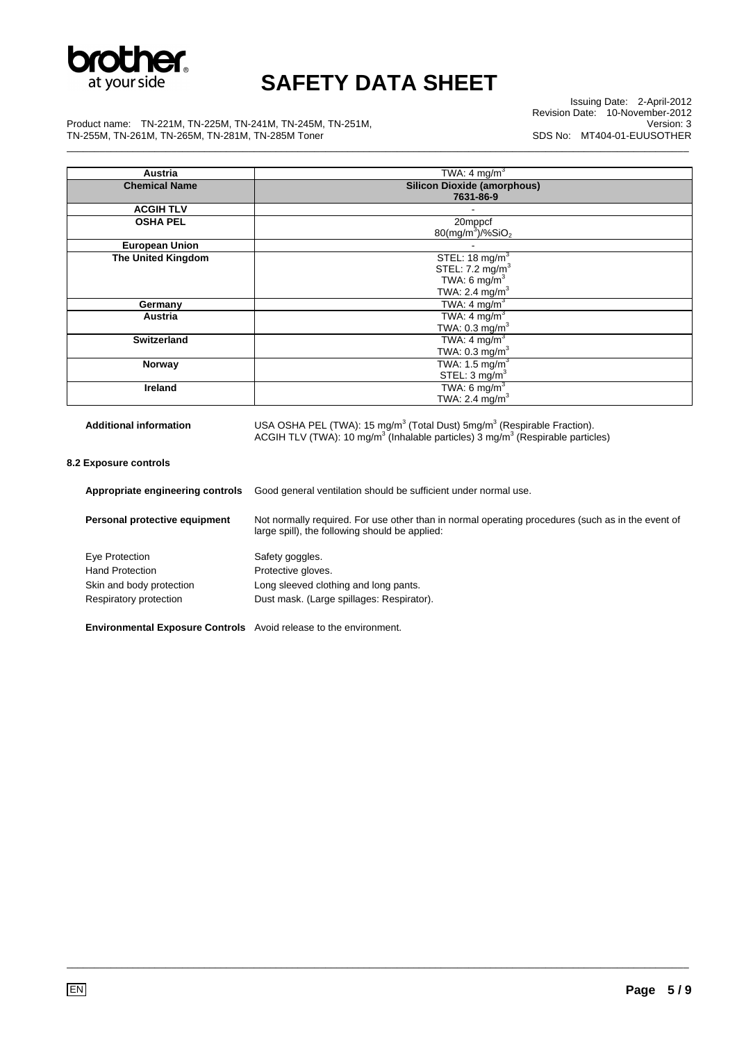

Issuing Date: 2-April-2012 Revision Date: 10-November-2012 Version: 3 SDS No: MT404-01-EUUSOTHER

Product name: TN-221M, TN-225M, TN-241M, TN-245M, TN-251M, TN-255M, TN-261M, TN-265M, TN-281M, TN-285M Toner \_\_\_\_\_\_\_\_\_\_\_\_\_\_\_\_\_\_\_\_\_\_\_\_\_\_\_\_\_\_\_\_\_\_\_\_\_\_\_\_\_\_\_\_\_\_\_\_\_\_\_\_\_\_\_\_\_\_\_\_\_\_\_\_\_\_\_\_\_\_\_\_\_\_\_\_\_\_\_\_\_\_\_\_\_\_\_\_\_\_\_\_\_\_\_\_\_\_\_\_\_\_\_\_\_\_\_\_\_\_\_\_\_

| Austria                       | TWA: 4 mg/m $3$                                                                                           |
|-------------------------------|-----------------------------------------------------------------------------------------------------------|
| <b>Chemical Name</b>          | <b>Silicon Dioxide (amorphous)</b>                                                                        |
|                               | 7631-86-9                                                                                                 |
| <b>ACGIH TLV</b>              |                                                                                                           |
| <b>OSHA PEL</b>               | 20mppcf                                                                                                   |
|                               | $80$ (mg/m <sup>3</sup> )/%SiO <sub>2</sub>                                                               |
| <b>European Union</b>         |                                                                                                           |
| <b>The United Kingdom</b>     | STEL: $18 \text{ mg/m}^3$                                                                                 |
|                               | STEL: 7.2 mg/m <sup>3</sup>                                                                               |
|                               | TWA: 6 mg/m <sup>3</sup>                                                                                  |
|                               | TWA: 2.4 mg/m <sup>3</sup>                                                                                |
| Germany                       | TWA: 4 mg/m $3$                                                                                           |
| Austria                       | TWA: $4 \text{ mg/m}^3$                                                                                   |
|                               | TWA: $0.3$ mg/m <sup>3</sup>                                                                              |
| <b>Switzerland</b>            | TWA: 4 mg/ $m^3$                                                                                          |
|                               | TWA: $0.3 \text{ mg/m}^3$                                                                                 |
| Norway                        | TWA: 1.5 mg/m $^3$                                                                                        |
|                               | STEL: $3 \text{ mg/m}^3$                                                                                  |
| <b>Ireland</b>                | TWA: $6 \text{ mg/m}^3$                                                                                   |
|                               | TWA: 2.4 $mg/m3$                                                                                          |
|                               |                                                                                                           |
| <b>Additional information</b> | USA OSHA PEL (TWA): 15 mg/m <sup>3</sup> (Total Dust) $5mg/m3$ (Respirable Fraction).                     |
|                               | ACGIH TLV (TWA): 10 $mg/m3$ (Inhalable particles) $\overline{3}$ mg/m <sup>3</sup> (Respirable particles) |

**8.2 Exposure controls** 

| Appropriate engineering controls                                         | Good general ventilation should be sufficient under normal use.                                                                                     |
|--------------------------------------------------------------------------|-----------------------------------------------------------------------------------------------------------------------------------------------------|
| Personal protective equipment                                            | Not normally required. For use other than in normal operating procedures (such as in the event of<br>large spill), the following should be applied: |
| Eye Protection                                                           | Safety goggles.                                                                                                                                     |
| <b>Hand Protection</b>                                                   | Protective gloves.                                                                                                                                  |
| Skin and body protection                                                 | Long sleeved clothing and long pants.                                                                                                               |
| Respiratory protection                                                   | Dust mask. (Large spillages: Respirator).                                                                                                           |
| <b>Environmental Exposure Controls</b> Avoid release to the environment. |                                                                                                                                                     |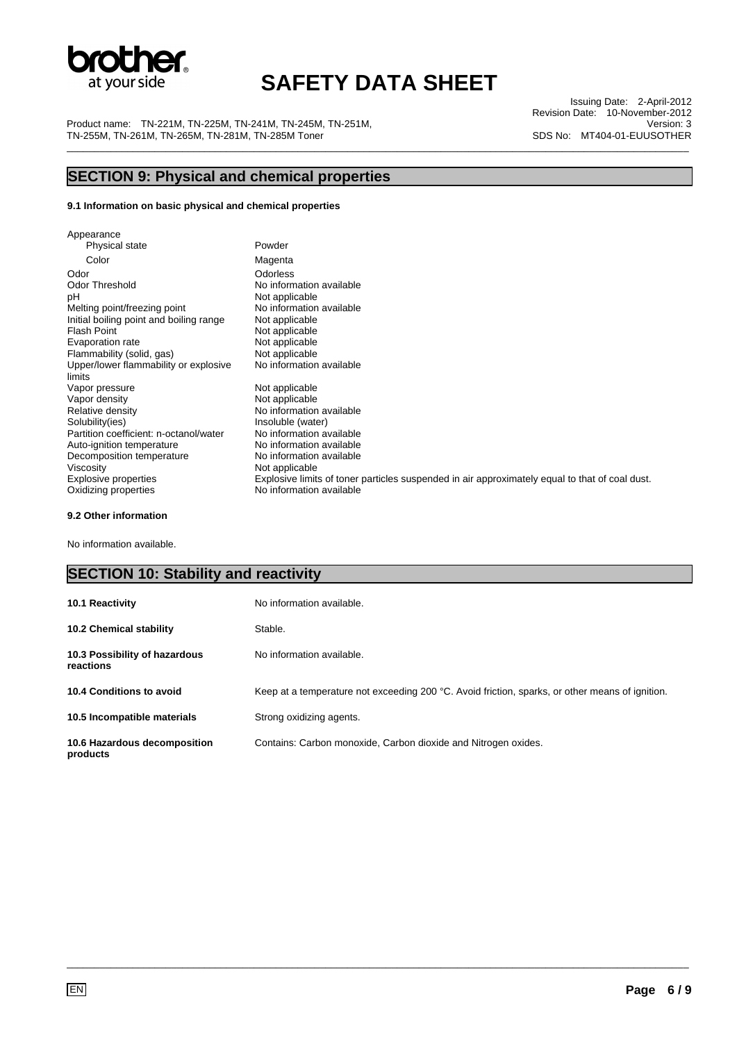

Product name: TN-221M, TN-225M, TN-241M, TN-245M, TN-251M, TN-255M, TN-261M, TN-265M, TN-281M, TN-285M Toner \_\_\_\_\_\_\_\_\_\_\_\_\_\_\_\_\_\_\_\_\_\_\_\_\_\_\_\_\_\_\_\_\_\_\_\_\_\_\_\_\_\_\_\_\_\_\_\_\_\_\_\_\_\_\_\_\_\_\_\_\_\_\_\_\_\_\_\_\_\_\_\_\_\_\_\_\_\_\_\_\_\_\_\_\_\_\_\_\_\_\_\_\_\_\_\_\_\_\_\_\_\_\_\_\_\_\_\_\_\_\_\_\_

Issuing Date: 2-April-2012 Revision Date: 10-November-2012 Version: 3 SDS No: MT404-01-EUUSOTHER

# **SECTION 9: Physical and chemical properties**

#### **9.1 Information on basic physical and chemical properties**

| Appearance                                      |                                                                                                |
|-------------------------------------------------|------------------------------------------------------------------------------------------------|
| Physical state                                  | Powder                                                                                         |
| Color                                           | Magenta                                                                                        |
| Odor                                            | Odorless                                                                                       |
| Odor Threshold                                  | No information available                                                                       |
| рH                                              | Not applicable                                                                                 |
| Melting point/freezing point                    | No information available                                                                       |
| Initial boiling point and boiling range         | Not applicable                                                                                 |
| <b>Flash Point</b>                              | Not applicable                                                                                 |
| Evaporation rate                                | Not applicable                                                                                 |
| Flammability (solid, gas)                       | Not applicable                                                                                 |
| Upper/lower flammability or explosive<br>limits | No information available                                                                       |
| Vapor pressure                                  | Not applicable                                                                                 |
| Vapor density                                   | Not applicable                                                                                 |
| Relative density                                | No information available                                                                       |
| Solubility(ies)                                 | Insoluble (water)                                                                              |
| Partition coefficient: n-octanol/water          | No information available                                                                       |
| Auto-ignition temperature                       | No information available                                                                       |
| Decomposition temperature                       | No information available                                                                       |
| Viscosity                                       | Not applicable                                                                                 |
| <b>Explosive properties</b>                     | Explosive limits of toner particles suspended in air approximately equal to that of coal dust. |
| Oxidizing properties                            | No information available                                                                       |

#### **9.2 Other information**

No information available.

### **SECTION 10: Stability and reactivity**

| 10.1 Reactivity                            | No information available.                                                                       |
|--------------------------------------------|-------------------------------------------------------------------------------------------------|
| <b>10.2 Chemical stability</b>             | Stable.                                                                                         |
| 10.3 Possibility of hazardous<br>reactions | No information available.                                                                       |
| 10.4 Conditions to avoid                   | Keep at a temperature not exceeding 200 °C. Avoid friction, sparks, or other means of ignition. |
| 10.5 Incompatible materials                | Strong oxidizing agents.                                                                        |
| 10.6 Hazardous decomposition<br>products   | Contains: Carbon monoxide, Carbon dioxide and Nitrogen oxides.                                  |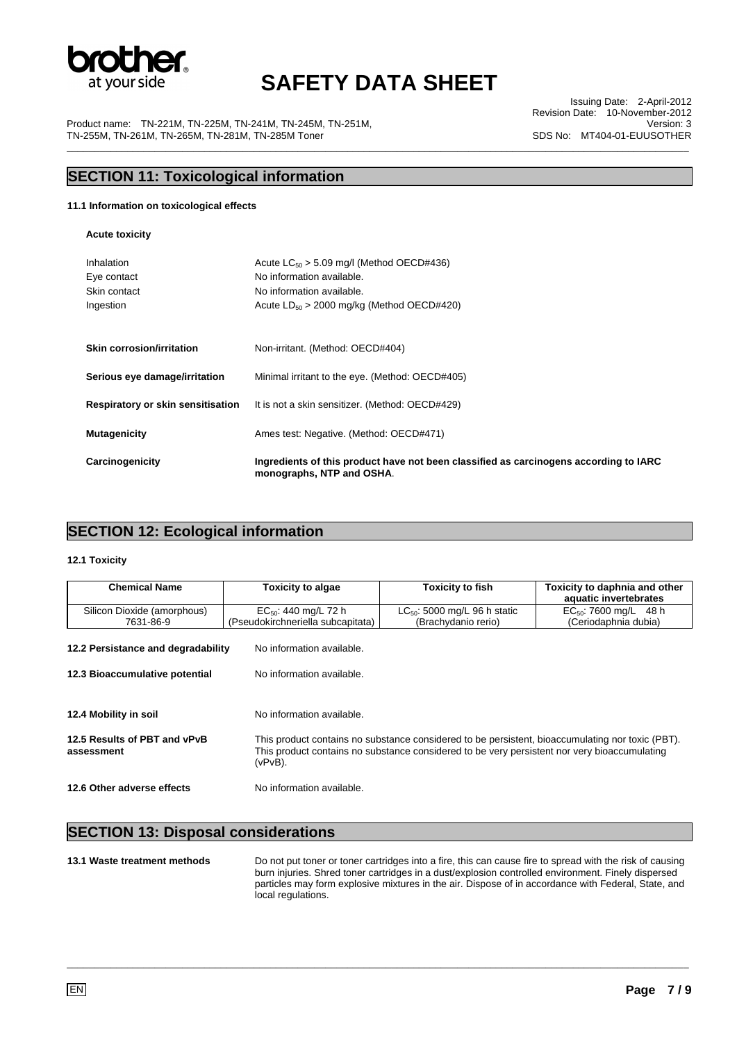

\_\_\_\_\_\_\_\_\_\_\_\_\_\_\_\_\_\_\_\_\_\_\_\_\_\_\_\_\_\_\_\_\_\_\_\_\_\_\_\_\_\_\_\_\_\_\_\_\_\_\_\_\_\_\_\_\_\_\_\_\_\_\_\_\_\_\_\_\_\_\_\_\_\_\_\_\_\_\_\_\_\_\_\_\_\_\_\_\_\_\_\_\_\_\_\_\_\_\_\_\_\_\_\_\_\_\_\_\_\_\_\_\_

Product name: TN-221M, TN-225M, TN-241M, TN-245M, TN-251M, TN-255M, TN-261M, TN-265M, TN-281M, TN-285M Toner

Issuing Date: 2-April-2012 Revision Date: 10-November-2012 Version: 3 SDS No: MT404-01-EUUSOTHER

### **SECTION 11: Toxicological information**

#### **11.1 Information on toxicological effects**

**Acute toxicity** 

| Inhalation<br>Eye contact<br>Skin contact<br>Ingestion | Acute $LC_{50} > 5.09$ mg/l (Method OECD#436)<br>No information available.<br>No information available.<br>Acute $LD_{50} > 2000$ mg/kg (Method OECD#420) |
|--------------------------------------------------------|-----------------------------------------------------------------------------------------------------------------------------------------------------------|
| <b>Skin corrosion/irritation</b>                       | Non-irritant. (Method: OECD#404)                                                                                                                          |
| Serious eye damage/irritation                          | Minimal irritant to the eye. (Method: OECD#405)                                                                                                           |
| Respiratory or skin sensitisation                      | It is not a skin sensitizer. (Method: OECD#429)                                                                                                           |
| <b>Mutagenicity</b>                                    | Ames test: Negative. (Method: OECD#471)                                                                                                                   |
| Carcinogenicity                                        | Ingredients of this product have not been classified as carcinogens according to IARC<br>monographs, NTP and OSHA.                                        |

### **SECTION 12: Ecological information**

#### **12.1 Toxicity**

| <b>Chemical Name</b>               | Toxicity to algae                 | <b>Toxicity to fish</b>                                                                                                                                                                          | Toxicity to daphnia and other |  |
|------------------------------------|-----------------------------------|--------------------------------------------------------------------------------------------------------------------------------------------------------------------------------------------------|-------------------------------|--|
|                                    |                                   |                                                                                                                                                                                                  | aquatic invertebrates         |  |
| Silicon Dioxide (amorphous)        | $EC_{50}$ : 440 mg/L 72 h         | $LC_{50}$ : 5000 mg/L 96 h static                                                                                                                                                                | $EC_{50}$ : 7600 mg/L 48 h    |  |
| 7631-86-9                          | (Pseudokirchneriella subcapitata) | (Brachydanio rerio)                                                                                                                                                                              | (Ceriodaphnia dubia)          |  |
|                                    |                                   |                                                                                                                                                                                                  |                               |  |
| 12.2 Persistance and degradability | No information available.         |                                                                                                                                                                                                  |                               |  |
|                                    |                                   |                                                                                                                                                                                                  |                               |  |
| 12.3 Bioaccumulative potential     | No information available.         |                                                                                                                                                                                                  |                               |  |
|                                    |                                   |                                                                                                                                                                                                  |                               |  |
|                                    |                                   |                                                                                                                                                                                                  |                               |  |
| 12.4 Mobility in soil              | No information available.         |                                                                                                                                                                                                  |                               |  |
|                                    |                                   |                                                                                                                                                                                                  |                               |  |
| 12.5 Results of PBT and vPvB       |                                   | This product contains no substance considered to be persistent, bioaccumulating nor toxic (PBT).<br>This product contains no substance considered to be very persistent nor very bioaccumulating |                               |  |
| assessment                         |                                   |                                                                                                                                                                                                  |                               |  |
|                                    | $(vPvB)$ .                        |                                                                                                                                                                                                  |                               |  |
| 12.6 Other adverse effects         | No information available.         |                                                                                                                                                                                                  |                               |  |
|                                    |                                   |                                                                                                                                                                                                  |                               |  |

#### **SECTION 13: Disposal considerations**

**13.1 Waste treatment methods** Do not put toner or toner cartridges into a fire, this can cause fire to spread with the risk of causing burn injuries. Shred toner cartridges in a dust/explosion controlled environment. Finely dispersed particles may form explosive mixtures in the air. Dispose of in accordance with Federal, State, and local regulations.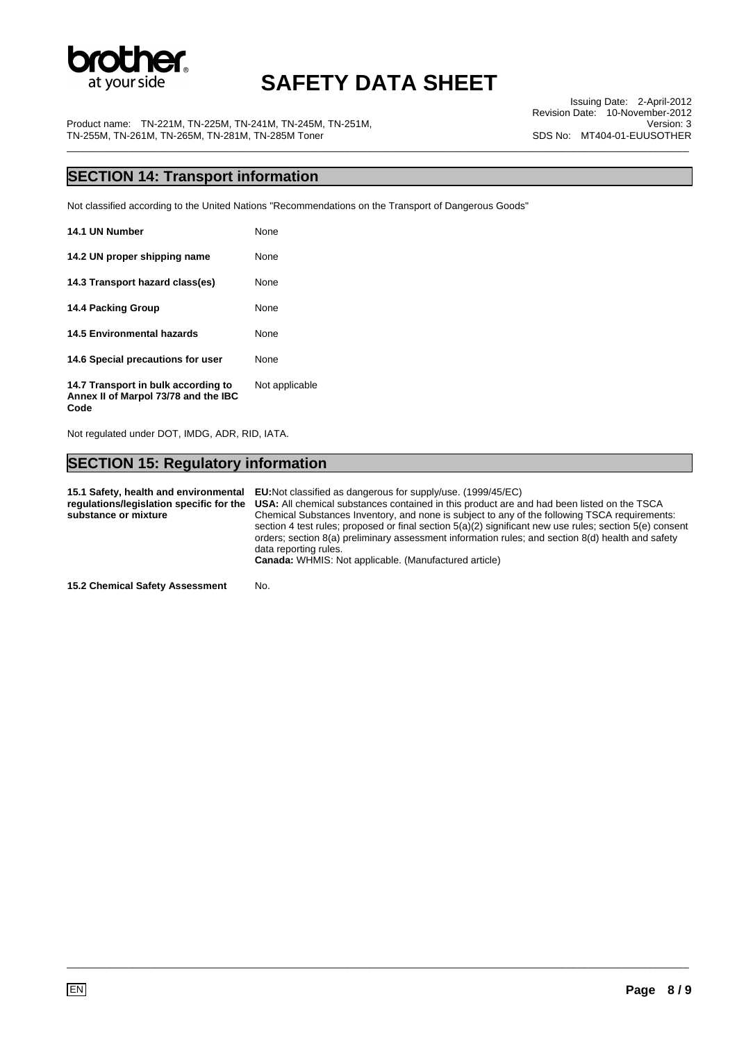

Issuing Date: 2-April-2012 Revision Date: 10-November-2012 Version: 3 SDS No: MT404-01-EUUSOTHER

Product name: TN-221M, TN-225M, TN-241M, TN-245M, TN-251M, TN-255M, TN-261M, TN-265M, TN-281M, TN-285M Toner \_\_\_\_\_\_\_\_\_\_\_\_\_\_\_\_\_\_\_\_\_\_\_\_\_\_\_\_\_\_\_\_\_\_\_\_\_\_\_\_\_\_\_\_\_\_\_\_\_\_\_\_\_\_\_\_\_\_\_\_\_\_\_\_\_\_\_\_\_\_\_\_\_\_\_\_\_\_\_\_\_\_\_\_\_\_\_\_\_\_\_\_\_\_\_\_\_\_\_\_\_\_\_\_\_\_\_\_\_\_\_\_\_

### **SECTION 14: Transport information**

Not classified according to the United Nations "Recommendations on the Transport of Dangerous Goods"

| 14.1 UN Number                                                              | None           |
|-----------------------------------------------------------------------------|----------------|
| 14.2 UN proper shipping name                                                | None           |
| 14.3 Transport hazard class(es)                                             | None           |
| <b>14.4 Packing Group</b>                                                   | None           |
| <b>14.5 Environmental hazards</b>                                           | None           |
| 14.6 Special precautions for user                                           | None           |
| 14.7 Transport in bulk according to<br>Annex II of Marpol 73/78 and the IBC | Not applicable |

Not regulated under DOT, IMDG, ADR, RID, IATA.

**Code** 

### **SECTION 15: Regulatory information**

**15.1 Safety, health and environmental EU:**Not classified as dangerous for supply/use. (1999/45/EC) **regulations/legislation specific for the substance or mixture USA:** All chemical substances contained in this product are and had been listed on the TSCA Chemical Substances Inventory, and none is subject to any of the following TSCA requirements: section 4 test rules; proposed or final section 5(a)(2) significant new use rules; section 5(e) consent orders; section 8(a) preliminary assessment information rules; and section 8(d) health and safety data reporting rules. **Canada:** WHMIS: Not applicable. (Manufactured article)

\_\_\_\_\_\_\_\_\_\_\_\_\_\_\_\_\_\_\_\_\_\_\_\_\_\_\_\_\_\_\_\_\_\_\_\_\_\_\_\_\_\_\_\_\_\_\_\_\_\_\_\_\_\_\_\_\_\_\_\_\_\_\_\_\_\_\_\_\_\_\_\_\_\_\_\_\_\_\_\_\_\_\_\_\_\_\_\_\_\_\_\_\_\_\_\_\_\_\_\_\_\_\_\_\_\_\_\_\_\_\_\_\_

**15.2 Chemical Safety Assessment** No.